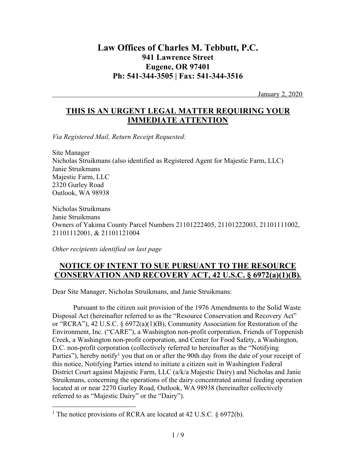# **Law Offices of Charles M. Tebbutt, P.C. 941 Lawrence Street Eugene, OR 97401 Ph: 541-344-3505 | Fax: 541-344-3516**

January 2, 2020

## **THIS IS AN URGENT LEGAL MATTER REQUIRING YOUR IMMEDIATE ATTENTION**

*Via Registered Mail, Return Receipt Requested:*

Site Manager Nicholas Struikmans (also identified as Registered Agent for Majestic Farm, LLC) Janie Struikmans Majestic Farm, LLC 2320 Gurley Road Outlook, WA 98938

Nicholas Struikmans Janie Struikmans Owners of Yakima County Parcel Numbers 21101222405, 21101222003, 21101111002, 21101112001, & 21101121004

*Other recipients identified on last page*

### **NOTICE OF INTENT TO SUE PURSUANT TO THE RESOURCE CONSERVATION AND RECOVERY ACT, 42 U.S.C. § 6972(a)(1)(B)***.*

Dear Site Manager, Nicholas Struikmans, and Janie Struikmans:

Pursuant to the citizen suit provision of the 1976 Amendments to the Solid Waste Disposal Act (hereinafter referred to as the "Resource Conservation and Recovery Act" or "RCRA"), 42 U.S.C. § 6972(a)(1)(B), Community Association for Restoration of the Environment, Inc. ("CARE"), a Washington non-profit corporation, Friends of Toppenish Creek, a Washington non-profit corporation, and Center for Food Safety, a Washington, D.C. non-profit corporation (collectively referred to hereinafter as the "Notifying Parties"), hereby notify<sup>1</sup> you that on or after the 90th day from the date of your receipt of this notice, Notifying Parties intend to initiate a citizen suit in Washington Federal District Court against Majestic Farm, LLC (a/k/a Majestic Dairy) and Nicholas and Janie Struikmans, concerning the operations of the dairy concentrated animal feeding operation located at or near 2270 Gurley Road, Outlook, WA 98938 (hereinafter collectively referred to as "Majestic Dairy" or the "Dairy").

<sup>&</sup>lt;sup>1</sup> The notice provisions of RCRA are located at 42 U.S.C.  $\S$  6972(b).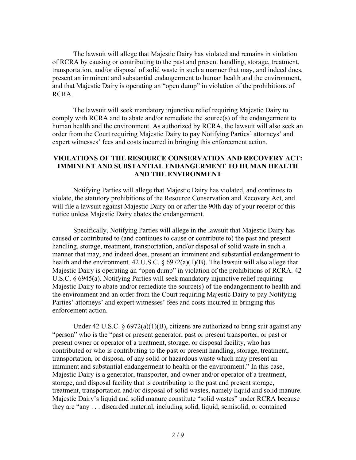The lawsuit will allege that Majestic Dairy has violated and remains in violation of RCRA by causing or contributing to the past and present handling, storage, treatment, transportation, and/or disposal of solid waste in such a manner that may, and indeed does, present an imminent and substantial endangerment to human health and the environment, and that Majestic Dairy is operating an "open dump" in violation of the prohibitions of RCRA.

The lawsuit will seek mandatory injunctive relief requiring Majestic Dairy to comply with RCRA and to abate and/or remediate the source(s) of the endangerment to human health and the environment. As authorized by RCRA, the lawsuit will also seek an order from the Court requiring Majestic Dairy to pay Notifying Parties' attorneys' and expert witnesses' fees and costs incurred in bringing this enforcement action.

### **VIOLATIONS OF THE RESOURCE CONSERVATION AND RECOVERY ACT: IMMINENT AND SUBSTANTIAL ENDANGERMENT TO HUMAN HEALTH AND THE ENVIRONMENT**

Notifying Parties will allege that Majestic Dairy has violated, and continues to violate, the statutory prohibitions of the Resource Conservation and Recovery Act, and will file a lawsuit against Majestic Dairy on or after the 90th day of your receipt of this notice unless Majestic Dairy abates the endangerment.

Specifically, Notifying Parties will allege in the lawsuit that Majestic Dairy has caused or contributed to (and continues to cause or contribute to) the past and present handling, storage, treatment, transportation, and/or disposal of solid waste in such a manner that may, and indeed does, present an imminent and substantial endangerment to health and the environment. 42 U.S.C. § 6972(a)(1)(B). The lawsuit will also allege that Majestic Dairy is operating an "open dump" in violation of the prohibitions of RCRA. 42 U.S.C. § 6945(a). Notifying Parties will seek mandatory injunctive relief requiring Majestic Dairy to abate and/or remediate the source(s) of the endangerment to health and the environment and an order from the Court requiring Majestic Dairy to pay Notifying Parties' attorneys' and expert witnesses' fees and costs incurred in bringing this enforcement action.

Under 42 U.S.C.  $\S 6972(a)(1)(B)$ , citizens are authorized to bring suit against any "person" who is the "past or present generator, past or present transporter, or past or present owner or operator of a treatment, storage, or disposal facility, who has contributed or who is contributing to the past or present handling, storage, treatment, transportation, or disposal of any solid or hazardous waste which may present an imminent and substantial endangerment to health or the environment." In this case, Majestic Dairy is a generator, transporter, and owner and/or operator of a treatment, storage, and disposal facility that is contributing to the past and present storage, treatment, transportation and/or disposal of solid wastes, namely liquid and solid manure. Majestic Dairy's liquid and solid manure constitute "solid wastes" under RCRA because they are "any . . . discarded material, including solid, liquid, semisolid, or contained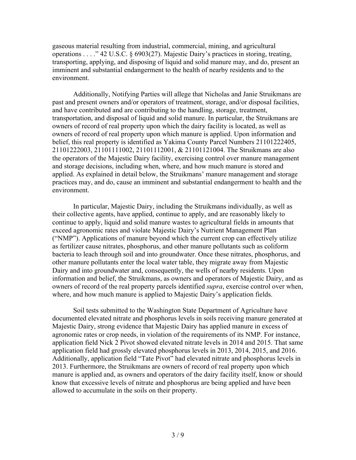gaseous material resulting from industrial, commercial, mining, and agricultural operations . . . ." 42 U.S.C. § 6903(27). Majestic Dairy's practices in storing, treating, transporting, applying, and disposing of liquid and solid manure may, and do, present an imminent and substantial endangerment to the health of nearby residents and to the environment.

Additionally, Notifying Parties will allege that Nicholas and Janie Struikmans are past and present owners and/or operators of treatment, storage, and/or disposal facilities, and have contributed and are contributing to the handling, storage, treatment, transportation, and disposal of liquid and solid manure. In particular, the Struikmans are owners of record of real property upon which the dairy facility is located, as well as owners of record of real property upon which manure is applied. Upon information and belief, this real property is identified as Yakima County Parcel Numbers 21101222405, 21101222003, 21101111002, 21101112001, & 21101121004. The Struikmans are also the operators of the Majestic Dairy facility, exercising control over manure management and storage decisions, including when, where, and how much manure is stored and applied. As explained in detail below, the Struikmans' manure management and storage practices may, and do, cause an imminent and substantial endangerment to health and the environment.

In particular, Majestic Dairy, including the Struikmans individually, as well as their collective agents, have applied, continue to apply, and are reasonably likely to continue to apply, liquid and solid manure wastes to agricultural fields in amounts that exceed agronomic rates and violate Majestic Dairy's Nutrient Management Plan ("NMP"). Applications of manure beyond which the current crop can effectively utilize as fertilizer cause nitrates, phosphorus, and other manure pollutants such as coliform bacteria to leach through soil and into groundwater. Once these nitrates, phosphorus, and other manure pollutants enter the local water table, they migrate away from Majestic Dairy and into groundwater and, consequently, the wells of nearby residents. Upon information and belief, the Struikmans, as owners and operators of Majestic Dairy, and as owners of record of the real property parcels identified *supra*, exercise control over when, where, and how much manure is applied to Majestic Dairy's application fields.

Soil tests submitted to the Washington State Department of Agriculture have documented elevated nitrate and phosphorus levels in soils receiving manure generated at Majestic Dairy, strong evidence that Majestic Dairy has applied manure in excess of agronomic rates or crop needs, in violation of the requirements of its NMP. For instance, application field Nick 2 Pivot showed elevated nitrate levels in 2014 and 2015. That same application field had grossly elevated phosphorus levels in 2013, 2014, 2015, and 2016. Additionally, application field "Tate Pivot" had elevated nitrate and phosphorus levels in 2013. Furthermore, the Struikmans are owners of record of real property upon which manure is applied and, as owners and operators of the dairy facility itself, know or should know that excessive levels of nitrate and phosphorus are being applied and have been allowed to accumulate in the soils on their property.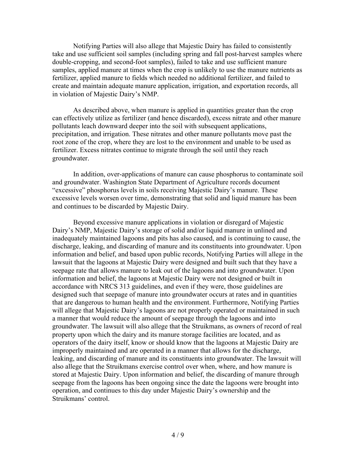Notifying Parties will also allege that Majestic Dairy has failed to consistently take and use sufficient soil samples (including spring and fall post-harvest samples where double-cropping, and second-foot samples), failed to take and use sufficient manure samples, applied manure at times when the crop is unlikely to use the manure nutrients as fertilizer, applied manure to fields which needed no additional fertilizer, and failed to create and maintain adequate manure application, irrigation, and exportation records, all in violation of Majestic Dairy's NMP.

As described above, when manure is applied in quantities greater than the crop can effectively utilize as fertilizer (and hence discarded), excess nitrate and other manure pollutants leach downward deeper into the soil with subsequent applications, precipitation, and irrigation. These nitrates and other manure pollutants move past the root zone of the crop, where they are lost to the environment and unable to be used as fertilizer. Excess nitrates continue to migrate through the soil until they reach groundwater.

In addition, over-applications of manure can cause phosphorus to contaminate soil and groundwater. Washington State Department of Agriculture records document "excessive" phosphorus levels in soils receiving Majestic Dairy's manure. These excessive levels worsen over time, demonstrating that solid and liquid manure has been and continues to be discarded by Majestic Dairy.

Beyond excessive manure applications in violation or disregard of Majestic Dairy's NMP, Majestic Dairy's storage of solid and/or liquid manure in unlined and inadequately maintained lagoons and pits has also caused, and is continuing to cause, the discharge, leaking, and discarding of manure and its constituents into groundwater. Upon information and belief, and based upon public records, Notifying Parties will allege in the lawsuit that the lagoons at Majestic Dairy were designed and built such that they have a seepage rate that allows manure to leak out of the lagoons and into groundwater. Upon information and belief, the lagoons at Majestic Dairy were not designed or built in accordance with NRCS 313 guidelines, and even if they were, those guidelines are designed such that seepage of manure into groundwater occurs at rates and in quantities that are dangerous to human health and the environment. Furthermore, Notifying Parties will allege that Majestic Dairy's lagoons are not properly operated or maintained in such a manner that would reduce the amount of seepage through the lagoons and into groundwater. The lawsuit will also allege that the Struikmans, as owners of record of real property upon which the dairy and its manure storage facilities are located, and as operators of the dairy itself, know or should know that the lagoons at Majestic Dairy are improperly maintained and are operated in a manner that allows for the discharge, leaking, and discarding of manure and its constituents into groundwater. The lawsuit will also allege that the Struikmans exercise control over when, where, and how manure is stored at Majestic Dairy. Upon information and belief, the discarding of manure through seepage from the lagoons has been ongoing since the date the lagoons were brought into operation, and continues to this day under Majestic Dairy's ownership and the Struikmans' control.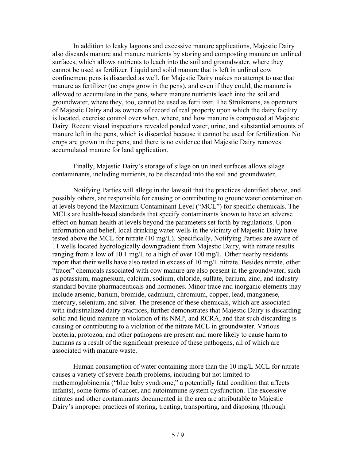In addition to leaky lagoons and excessive manure applications, Majestic Dairy also discards manure and manure nutrients by storing and composting manure on unlined surfaces, which allows nutrients to leach into the soil and groundwater, where they cannot be used as fertilizer. Liquid and solid manure that is left in unlined cow confinement pens is discarded as well, for Majestic Dairy makes no attempt to use that manure as fertilizer (no crops grow in the pens), and even if they could, the manure is allowed to accumulate in the pens, where manure nutrients leach into the soil and groundwater, where they, too, cannot be used as fertilizer. The Struikmans, as operators of Majestic Dairy and as owners of record of real property upon which the dairy facility is located, exercise control over when, where, and how manure is composted at Majestic Dairy. Recent visual inspections revealed ponded water, urine, and substantial amounts of manure left in the pens, which is discarded because it cannot be used for fertilization. No crops are grown in the pens, and there is no evidence that Majestic Dairy removes accumulated manure for land application.

Finally, Majestic Dairy's storage of silage on unlined surfaces allows silage contaminants, including nutrients, to be discarded into the soil and groundwater.

Notifying Parties will allege in the lawsuit that the practices identified above, and possibly others, are responsible for causing or contributing to groundwater contamination at levels beyond the Maximum Contaminant Level ("MCL") for specific chemicals. The MCLs are health-based standards that specify contaminants known to have an adverse effect on human health at levels beyond the parameters set forth by regulations. Upon information and belief, local drinking water wells in the vicinity of Majestic Dairy have tested above the MCL for nitrate (10 mg/L). Specifically, Notifying Parties are aware of 11 wells located hydrologically downgradient from Majestic Dairy, with nitrate results ranging from a low of 10.1 mg/L to a high of over 100 mg/L. Other nearby residents report that their wells have also tested in excess of 10 mg/L nitrate. Besides nitrate, other "tracer" chemicals associated with cow manure are also present in the groundwater, such as potassium, magnesium, calcium, sodium, chloride, sulfate, barium, zinc, and industrystandard bovine pharmaceuticals and hormones. Minor trace and inorganic elements may include arsenic, barium, bromide, cadmium, chromium, copper, lead, manganese, mercury, selenium, and silver. The presence of these chemicals, which are associated with industrialized dairy practices, further demonstrates that Majestic Dairy is discarding solid and liquid manure in violation of its NMP, and RCRA, and that such discarding is causing or contributing to a violation of the nitrate MCL in groundwater. Various bacteria, protozoa, and other pathogens are present and more likely to cause harm to humans as a result of the significant presence of these pathogens, all of which are associated with manure waste.

Human consumption of water containing more than the 10 mg/L MCL for nitrate causes a variety of severe health problems, including but not limited to methemoglobinemia ("blue baby syndrome," a potentially fatal condition that affects infants), some forms of cancer, and autoimmune system dysfunction. The excessive nitrates and other contaminants documented in the area are attributable to Majestic Dairy's improper practices of storing, treating, transporting, and disposing (through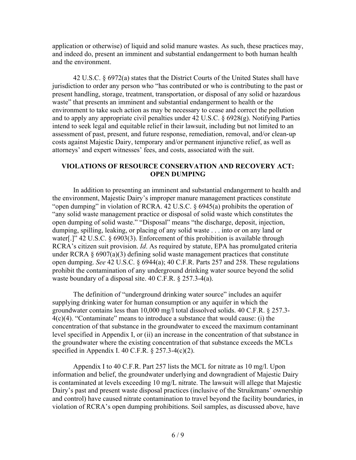application or otherwise) of liquid and solid manure wastes. As such, these practices may, and indeed do, present an imminent and substantial endangerment to both human health and the environment.

42 U.S.C. § 6972(a) states that the District Courts of the United States shall have jurisdiction to order any person who "has contributed or who is contributing to the past or present handling, storage, treatment, transportation, or disposal of any solid or hazardous waste" that presents an imminent and substantial endangerment to health or the environment to take such action as may be necessary to cease and correct the pollution and to apply any appropriate civil penalties under 42 U.S.C. § 6928(g). Notifying Parties intend to seek legal and equitable relief in their lawsuit, including but not limited to an assessment of past, present, and future response, remediation, removal, and/or clean-up costs against Majestic Dairy, temporary and/or permanent injunctive relief, as well as attorneys' and expert witnesses' fees, and costs, associated with the suit.

### **VIOLATIONS OF RESOURCE CONSERVATION AND RECOVERY ACT: OPEN DUMPING**

In addition to presenting an imminent and substantial endangerment to health and the environment, Majestic Dairy's improper manure management practices constitute "open dumping" in violation of RCRA. 42 U.S.C. § 6945(a) prohibits the operation of "any solid waste management practice or disposal of solid waste which constitutes the open dumping of solid waste." "Disposal" means "the discharge, deposit, injection, dumping, spilling, leaking, or placing of any solid waste . . . into or on any land or water[.]" 42 U.S.C. § 6903(3). Enforcement of this prohibition is available through RCRA's citizen suit provision. *Id*. As required by statute, EPA has promulgated criteria under RCRA  $\S 6907(a)(3)$  defining solid waste management practices that constitute open dumping. *See* 42 U.S.C. § 6944(a); 40 C.F.R. Parts 257 and 258. These regulations prohibit the contamination of any underground drinking water source beyond the solid waste boundary of a disposal site. 40 C.F.R. § 257.3-4(a).

The definition of "underground drinking water source" includes an aquifer supplying drinking water for human consumption or any aquifer in which the groundwater contains less than 10,000 mg/l total dissolved solids. 40 C.F.R. § 257.3-  $4(c)(4)$ . "Contaminate" means to introduce a substance that would cause: (i) the concentration of that substance in the groundwater to exceed the maximum contaminant level specified in Appendix I, or (ii) an increase in the concentration of that substance in the groundwater where the existing concentration of that substance exceeds the MCLs specified in Appendix I. 40 C.F.R.  $\S$  257.3-4(c)(2).

Appendix I to 40 C.F.R. Part 257 lists the MCL for nitrate as 10 mg/l. Upon information and belief, the groundwater underlying and downgradient of Majestic Dairy is contaminated at levels exceeding 10 mg/L nitrate. The lawsuit will allege that Majestic Dairy's past and present waste disposal practices (inclusive of the Struikmans' ownership and control) have caused nitrate contamination to travel beyond the facility boundaries, in violation of RCRA's open dumping prohibitions. Soil samples, as discussed above, have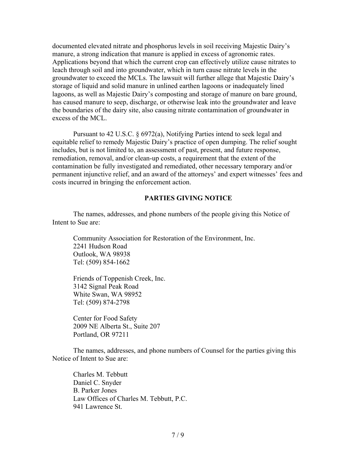documented elevated nitrate and phosphorus levels in soil receiving Majestic Dairy's manure, a strong indication that manure is applied in excess of agronomic rates. Applications beyond that which the current crop can effectively utilize cause nitrates to leach through soil and into groundwater, which in turn cause nitrate levels in the groundwater to exceed the MCLs. The lawsuit will further allege that Majestic Dairy's storage of liquid and solid manure in unlined earthen lagoons or inadequately lined lagoons, as well as Majestic Dairy's composting and storage of manure on bare ground, has caused manure to seep, discharge, or otherwise leak into the groundwater and leave the boundaries of the dairy site, also causing nitrate contamination of groundwater in excess of the MCL.

Pursuant to 42 U.S.C. § 6972(a), Notifying Parties intend to seek legal and equitable relief to remedy Majestic Dairy's practice of open dumping. The relief sought includes, but is not limited to, an assessment of past, present, and future response, remediation, removal, and/or clean-up costs, a requirement that the extent of the contamination be fully investigated and remediated, other necessary temporary and/or permanent injunctive relief, and an award of the attorneys' and expert witnesses' fees and costs incurred in bringing the enforcement action.

#### **PARTIES GIVING NOTICE**

The names, addresses, and phone numbers of the people giving this Notice of Intent to Sue are:

Community Association for Restoration of the Environment, Inc. 2241 Hudson Road Outlook, WA 98938 Tel: (509) 854-1662

Friends of Toppenish Creek, Inc. 3142 Signal Peak Road White Swan, WA 98952 Tel: (509) 874-2798

Center for Food Safety 2009 NE Alberta St., Suite 207 Portland, OR 97211

The names, addresses, and phone numbers of Counsel for the parties giving this Notice of Intent to Sue are:

Charles M. Tebbutt Daniel C. Snyder B. Parker Jones Law Offices of Charles M. Tebbutt, P.C. 941 Lawrence St.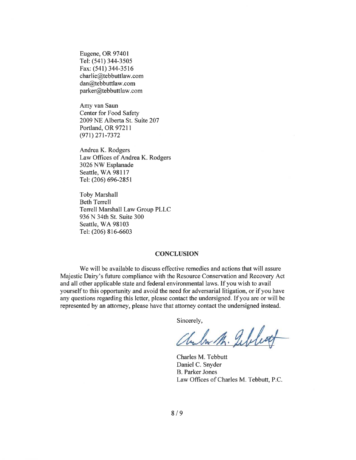Eugene, OR 97401 Tel: (541) 344-3505 Fax: (541) 344-3516 charlie@tebbuttlaw.com dan@tebbuttlaw.com parker@tebbuttlaw.com

Amy van Saun Center for Food Safety 2009 NE Alberta St. Suite 207 Portland, OR 97211  $(971)$  271-7372

Andrea K. Rodgers Law Offices of Andrea K. Rodgers 3026 NW Esplanade Seattle, WA 98117 Tel: (206) 696-2851

**Toby Marshall Beth Terrell** Terrell Marshall Law Group PLLC 936 N 34th St. Suite 300 Seattle, WA 98103 Tel: (206) 816-6603

#### **CONCLUSION**

We will be available to discuss effective remedies and actions that will assure Majestic Dairy's future compliance with the Resource Conservation and Recovery Act and all other applicable state and federal environmental laws. If you wish to avail yourself to this opportunity and avoid the need for adversarial litigation, or if you have any questions regarding this letter, please contact the undersigned. If you are or will be represented by an attorney, please have that attorney contact the undersigned instead.

Sincerely,

Chilm M. Sebleat

Charles M. Tebbutt Daniel C. Snyder **B.** Parker Jones Law Offices of Charles M. Tebbutt, P.C.